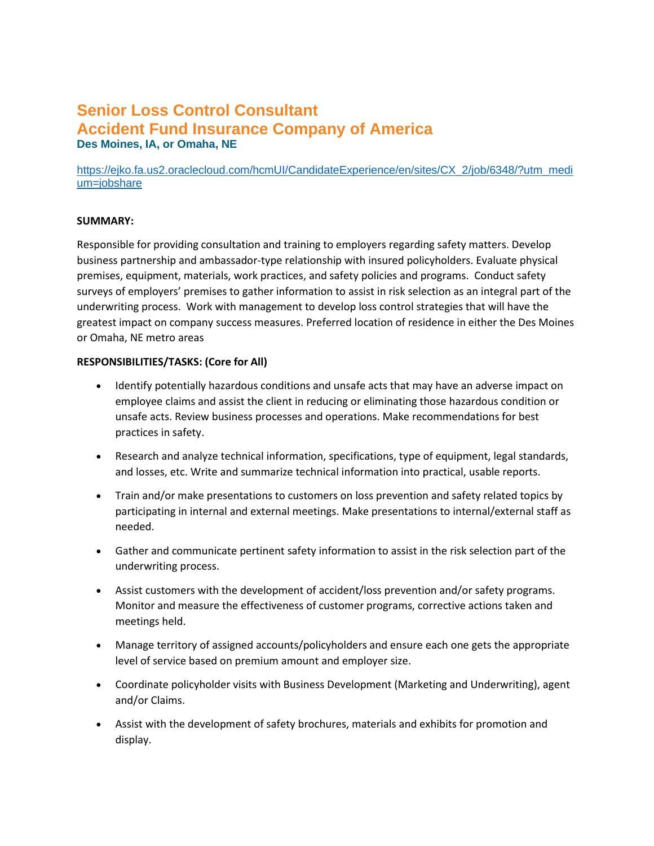# **Senior Loss Control Consultant Accident Fund Insurance Company of America Des Moines, IA, or Omaha, NE**

[https://ejko.fa.us2.oraclecloud.com/hcmUI/CandidateExperience/en/sites/CX\\_2/job/6348/?utm\\_medi](https://ejko.fa.us2.oraclecloud.com/hcmUI/CandidateExperience/en/sites/CX_2/job/6348/?utm_medium=jobshare) [um=jobshare](https://ejko.fa.us2.oraclecloud.com/hcmUI/CandidateExperience/en/sites/CX_2/job/6348/?utm_medium=jobshare) 

#### **SUMMARY:**

Responsible for providing consultation and training to employers regarding safety matters. Develop business partnership and ambassador-type relationship with insured policyholders. Evaluate physical premises, equipment, materials, work practices, and safety policies and programs. Conduct safety surveys of employers' premises to gather information to assist in risk selection as an integral part of the underwriting process. Work with management to develop loss control strategies that will have the greatest impact on company success measures. Preferred location of residence in either the Des Moines or Omaha, NE metro areas

#### **RESPONSIBILITIES/TASKS: (Core for All)**

- Identify potentially hazardous conditions and unsafe acts that may have an adverse impact on employee claims and assist the client in reducing or eliminating those hazardous condition or unsafe acts. Review business processes and operations. Make recommendations for best practices in safety.
- Research and analyze technical information, specifications, type of equipment, legal standards, and losses, etc. Write and summarize technical information into practical, usable reports.
- Train and/or make presentations to customers on loss prevention and safety related topics by participating in internal and external meetings. Make presentations to internal/external staff as needed.
- Gather and communicate pertinent safety information to assist in the risk selection part of the underwriting process.
- Assist customers with the development of accident/loss prevention and/or safety programs. Monitor and measure the effectiveness of customer programs, corrective actions taken and meetings held.
- Manage territory of assigned accounts/policyholders and ensure each one gets the appropriate level of service based on premium amount and employer size.
- Coordinate policyholder visits with Business Development (Marketing and Underwriting), agent and/or Claims.
- Assist with the development of safety brochures, materials and exhibits for promotion and display.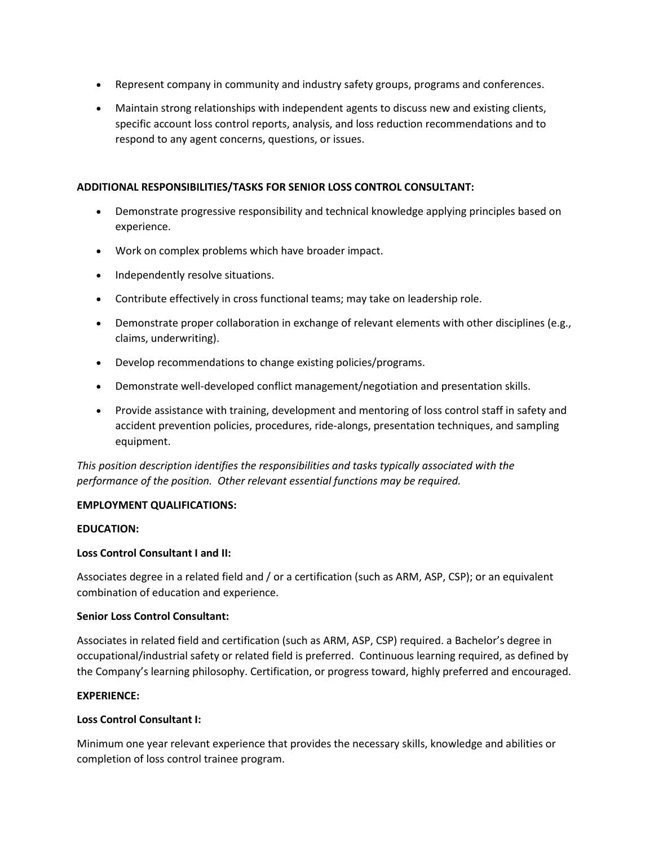- Represent company in community and industry safety groups, programs and conferences.
- Maintain strong relationships with independent agents to discuss new and existing clients, specific account loss control reports, analysis, and loss reduction recommendations and to respond to any agent concerns, questions, or issues.

#### **ADDITIONAL RESPONSIBILITIES/TASKS FOR SENIOR LOSS CONTROL CONSULTANT:**

- Demonstrate progressive responsibility and technical knowledge applying principles based on experience.
- Work on complex problems which have broader impact.
- Independently resolve situations.
- Contribute effectively in cross functional teams; may take on leadership role.
- Demonstrate proper collaboration in exchange of relevant elements with other disciplines (e.g., claims, underwriting).
- Develop recommendations to change existing policies/programs.
- Demonstrate well-developed conflict management/negotiation and presentation skills.
- Provide assistance with training, development and mentoring of loss control staff in safety and accident prevention policies, procedures, ride-alongs, presentation techniques, and sampling equipment.

*This position description identifies the responsibilities and tasks typically associated with the performance of the position. Other relevant essential functions may be required.*

#### **EMPLOYMENT QUALIFICATIONS:**

#### **EDUCATION:**

#### **Loss Control Consultant I and II:**

Associates degree in a related field and / or a certification (such as ARM, ASP, CSP); or an equivalent combination of education and experience.

#### **Senior Loss Control Consultant:**

Associates in related field and certification (such as ARM, ASP, CSP) required. a Bachelor's degree in occupational/industrial safety or related field is preferred. Continuous learning required, as defined by the Company's learning philosophy. Certification, or progress toward, highly preferred and encouraged.

#### **EXPERIENCE:**

#### **Loss Control Consultant I:**

Minimum one year relevant experience that provides the necessary skills, knowledge and abilities or completion of loss control trainee program.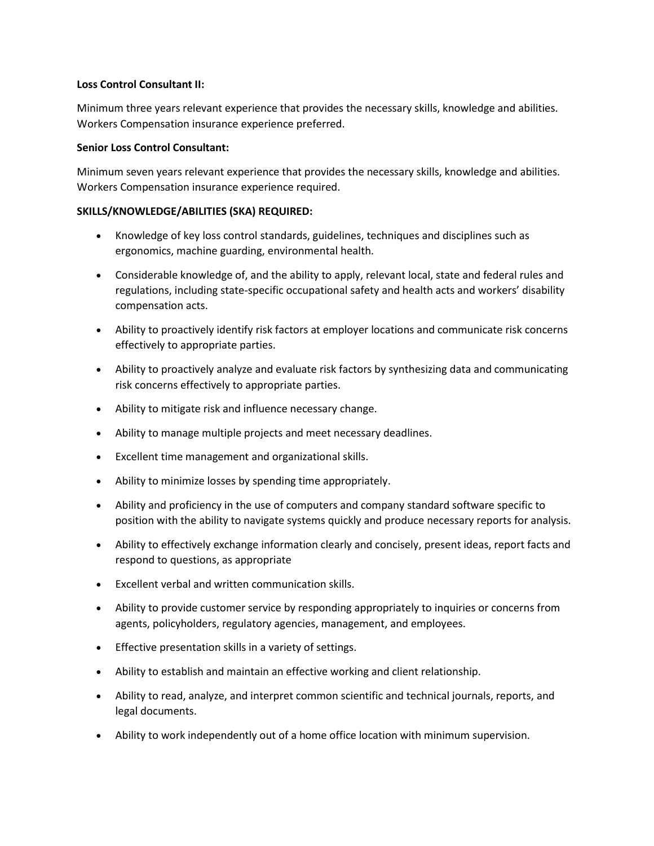#### **Loss Control Consultant II:**

Minimum three years relevant experience that provides the necessary skills, knowledge and abilities. Workers Compensation insurance experience preferred.

#### **Senior Loss Control Consultant:**

Minimum seven years relevant experience that provides the necessary skills, knowledge and abilities. Workers Compensation insurance experience required.

#### **SKILLS/KNOWLEDGE/ABILITIES (SKA) REQUIRED:**

- Knowledge of key loss control standards, guidelines, techniques and disciplines such as ergonomics, machine guarding, environmental health.
- Considerable knowledge of, and the ability to apply, relevant local, state and federal rules and regulations, including state-specific occupational safety and health acts and workers' disability compensation acts.
- Ability to proactively identify risk factors at employer locations and communicate risk concerns effectively to appropriate parties.
- Ability to proactively analyze and evaluate risk factors by synthesizing data and communicating risk concerns effectively to appropriate parties.
- Ability to mitigate risk and influence necessary change.
- Ability to manage multiple projects and meet necessary deadlines.
- Excellent time management and organizational skills.
- Ability to minimize losses by spending time appropriately.
- Ability and proficiency in the use of computers and company standard software specific to position with the ability to navigate systems quickly and produce necessary reports for analysis.
- Ability to effectively exchange information clearly and concisely, present ideas, report facts and respond to questions, as appropriate
- Excellent verbal and written communication skills.
- Ability to provide customer service by responding appropriately to inquiries or concerns from agents, policyholders, regulatory agencies, management, and employees.
- Effective presentation skills in a variety of settings.
- Ability to establish and maintain an effective working and client relationship.
- Ability to read, analyze, and interpret common scientific and technical journals, reports, and legal documents.
- Ability to work independently out of a home office location with minimum supervision.